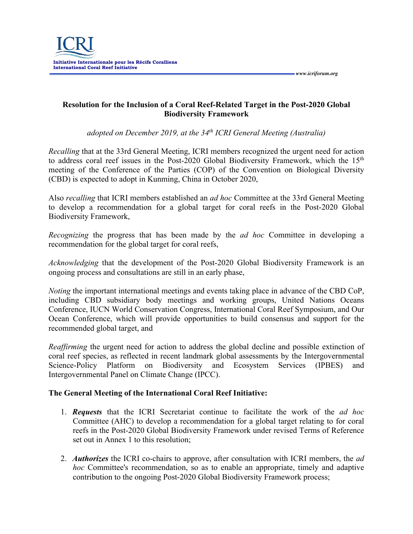

## **Resolution for the Inclusion of a Coral Reef-Related Target in the Post-2020 Global Biodiversity Framework**

 *www.icriforum.org* 

*adopted on December 2019, at the 34th ICRI General Meeting (Australia)*

*Recalling* that at the 33rd General Meeting, ICRI members recognized the urgent need for action to address coral reef issues in the Post-2020 Global Biodiversity Framework, which the 15<sup>th</sup> meeting of the Conference of the Parties (COP) of the Convention on Biological Diversity (CBD) is expected to adopt in Kunming, China in October 2020,

Also *recalling* that ICRI members established an *ad hoc* Committee at the 33rd General Meeting to develop a recommendation for a global target for coral reefs in the Post-2020 Global Biodiversity Framework,

*Recognizing* the progress that has been made by the *ad hoc* Committee in developing a recommendation for the global target for coral reefs,

*Acknowledging* that the development of the Post-2020 Global Biodiversity Framework is an ongoing process and consultations are still in an early phase,

*Noting* the important international meetings and events taking place in advance of the CBD CoP, including CBD subsidiary body meetings and working groups, United Nations Oceans Conference, IUCN World Conservation Congress, International Coral Reef Symposium, and Our Ocean Conference, which will provide opportunities to build consensus and support for the recommended global target, and

*Reaffirming* the urgent need for action to address the global decline and possible extinction of coral reef species, as reflected in recent landmark global assessments by the Intergovernmental Science-Policy Platform on Biodiversity and Ecosystem Services (IPBES) and Intergovernmental Panel on Climate Change (IPCC).

## **The General Meeting of the International Coral Reef Initiative:**

- 1. *Requests* that the ICRI Secretariat continue to facilitate the work of the *ad hoc* Committee (AHC) to develop a recommendation for a global target relating to for coral reefs in the Post-2020 Global Biodiversity Framework under revised Terms of Reference set out in Annex 1 to this resolution;
- 2. *Authorizes* the ICRI co-chairs to approve, after consultation with ICRI members, the *ad hoc* Committee's recommendation, so as to enable an appropriate, timely and adaptive contribution to the ongoing Post-2020 Global Biodiversity Framework process;